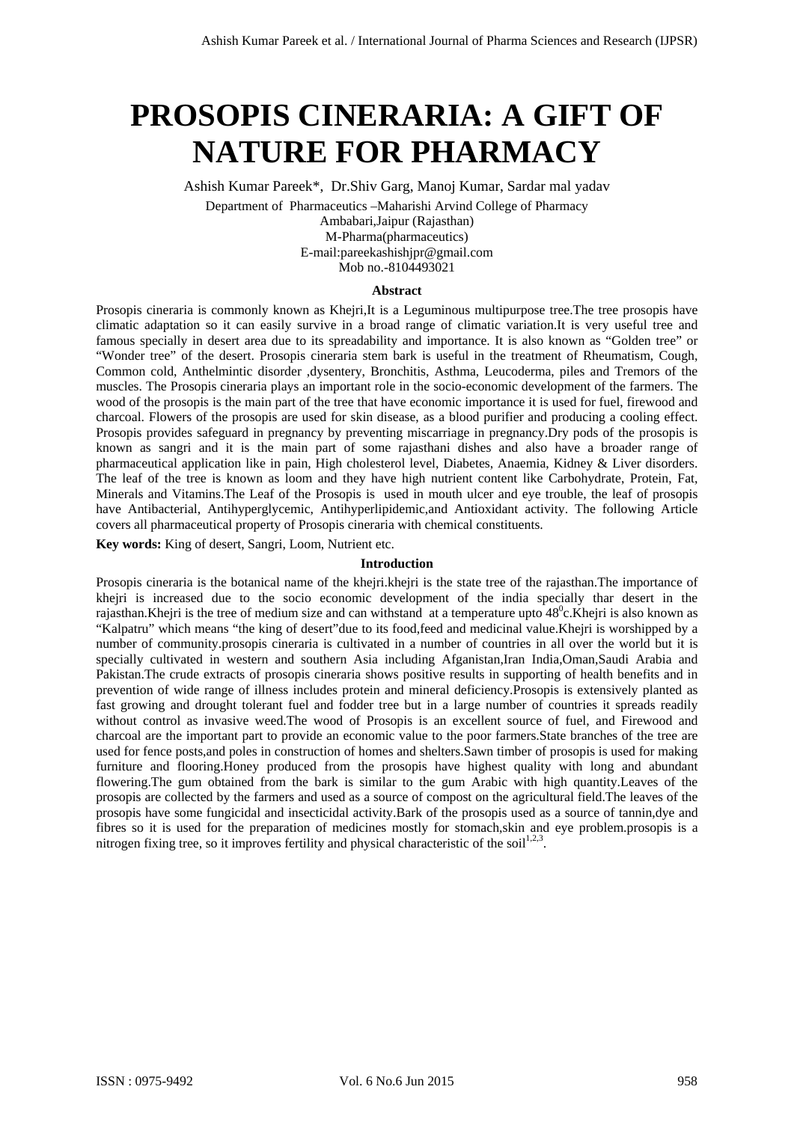# **PROSOPIS CINERARIA: A GIFT OF NATURE FOR PHARMACY**

Ashish Kumar Pareek\*, Dr.Shiv Garg, Manoj Kumar, Sardar mal yadav

Department of Pharmaceutics –Maharishi Arvind College of Pharmacy Ambabari,Jaipur (Rajasthan) M-Pharma(pharmaceutics) E-mail:pareekashishjpr@gmail.com Mob no.-8104493021

#### **Abstract**

Prosopis cineraria is commonly known as Khejri,It is a Leguminous multipurpose tree.The tree prosopis have climatic adaptation so it can easily survive in a broad range of climatic variation.It is very useful tree and famous specially in desert area due to its spreadability and importance. It is also known as "Golden tree" or "Wonder tree" of the desert. Prosopis cineraria stem bark is useful in the treatment of Rheumatism, Cough, Common cold, Anthelmintic disorder ,dysentery, Bronchitis, Asthma, Leucoderma, piles and Tremors of the muscles. The Prosopis cineraria plays an important role in the socio-economic development of the farmers. The wood of the prosopis is the main part of the tree that have economic importance it is used for fuel, firewood and charcoal. Flowers of the prosopis are used for skin disease, as a blood purifier and producing a cooling effect. Prosopis provides safeguard in pregnancy by preventing miscarriage in pregnancy.Dry pods of the prosopis is known as sangri and it is the main part of some rajasthani dishes and also have a broader range of pharmaceutical application like in pain, High cholesterol level, Diabetes, Anaemia, Kidney & Liver disorders. The leaf of the tree is known as loom and they have high nutrient content like Carbohydrate, Protein, Fat, Minerals and Vitamins.The Leaf of the Prosopis is used in mouth ulcer and eye trouble, the leaf of prosopis have Antibacterial, Antihyperglycemic, Antihyperlipidemic,and Antioxidant activity. The following Article covers all pharmaceutical property of Prosopis cineraria with chemical constituents.

**Key words:** King of desert, Sangri, Loom, Nutrient etc.

#### **Introduction**

Prosopis cineraria is the botanical name of the khejri.khejri is the state tree of the rajasthan.The importance of khejri is increased due to the socio economic development of the india specially thar desert in the rajasthan. Khejri is the tree of medium size and can withstand at a temperature upto  $48^{\circ}$ c. Khejri is also known as "Kalpatru" which means "the king of desert"due to its food,feed and medicinal value.Khejri is worshipped by a number of community.prosopis cineraria is cultivated in a number of countries in all over the world but it is specially cultivated in western and southern Asia including Afganistan,Iran India,Oman,Saudi Arabia and Pakistan.The crude extracts of prosopis cineraria shows positive results in supporting of health benefits and in prevention of wide range of illness includes protein and mineral deficiency.Prosopis is extensively planted as fast growing and drought tolerant fuel and fodder tree but in a large number of countries it spreads readily without control as invasive weed.The wood of Prosopis is an excellent source of fuel, and Firewood and charcoal are the important part to provide an economic value to the poor farmers.State branches of the tree are used for fence posts,and poles in construction of homes and shelters.Sawn timber of prosopis is used for making furniture and flooring.Honey produced from the prosopis have highest quality with long and abundant flowering.The gum obtained from the bark is similar to the gum Arabic with high quantity.Leaves of the prosopis are collected by the farmers and used as a source of compost on the agricultural field.The leaves of the prosopis have some fungicidal and insecticidal activity.Bark of the prosopis used as a source of tannin,dye and fibres so it is used for the preparation of medicines mostly for stomach,skin and eye problem.prosopis is a nitrogen fixing tree, so it improves fertility and physical characteristic of the soil<sup>1,2,3</sup>. Ashin Kumar Parent et al. / International Journal of Pharma Sciences and Research (IJPSR) **INTERNATION**<br> **PROSOPISE CINERRARIA:** A GHET OF NATURE FOR PHARMACY Associates and Research (See Marma Sciences and Sciences and R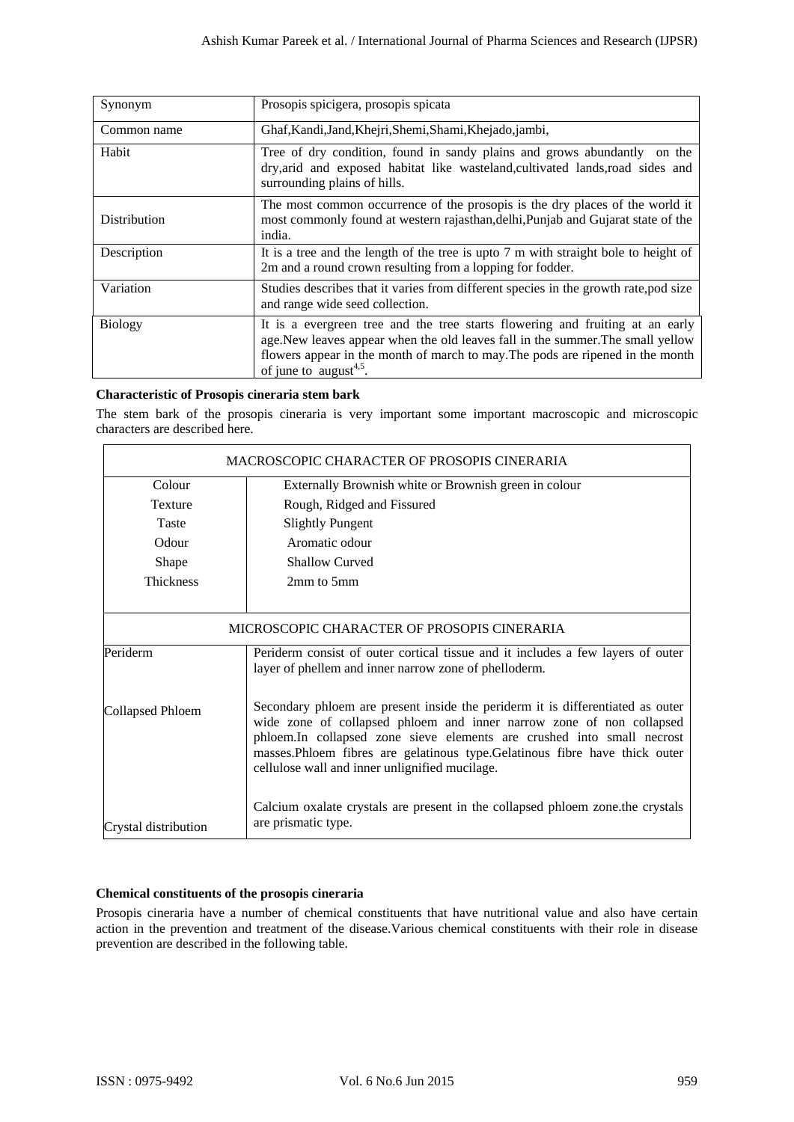| Synonym        | Prosopis spicigera, prosopis spicata                                                                                                                                                                                                                                                   |
|----------------|----------------------------------------------------------------------------------------------------------------------------------------------------------------------------------------------------------------------------------------------------------------------------------------|
| Common name    | Ghaf, Kandi, Jand, Khejri, Shemi, Shami, Khejado, jambi,                                                                                                                                                                                                                               |
| Habit          | Tree of dry condition, found in sandy plains and grows abundantly on the<br>dry, arid and exposed habitat like wasteland, cultivated lands, road sides and<br>surrounding plains of hills.                                                                                             |
| Distribution   | The most common occurrence of the prosopis is the dry places of the world it<br>most commonly found at western rajasthan, delhi, Punjab and Gujarat state of the<br>india.                                                                                                             |
| Description    | It is a tree and the length of the tree is upto 7 m with straight bole to height of<br>2m and a round crown resulting from a lopping for fodder.                                                                                                                                       |
| Variation      | Studies describes that it varies from different species in the growth rate, pod size<br>and range wide seed collection.                                                                                                                                                                |
| <b>Biology</b> | It is a evergreen tree and the tree starts flowering and fruiting at an early<br>age.New leaves appear when the old leaves fall in the summer.The small yellow<br>flowers appear in the month of march to may. The pods are ripened in the month<br>of june to august <sup>4,5</sup> . |

### **Characteristic of Prosopis cineraria stem bark**

| Synonym                                                                                 | Prosopis spicigera, prosopis spicata                                                                                                                                                                                                                                                                                                                             |
|-----------------------------------------------------------------------------------------|------------------------------------------------------------------------------------------------------------------------------------------------------------------------------------------------------------------------------------------------------------------------------------------------------------------------------------------------------------------|
|                                                                                         |                                                                                                                                                                                                                                                                                                                                                                  |
| Common name                                                                             | Ghaf, Kandi, Jand, Khejri, Shemi, Shami, Khejado, jambi,                                                                                                                                                                                                                                                                                                         |
| Habit                                                                                   | Tree of dry condition, found in sandy plains and grows abundantly on the<br>dry, arid and exposed habitat like wasteland, cultivated lands, road sides and<br>surrounding plains of hills.                                                                                                                                                                       |
| Distribution                                                                            | The most common occurrence of the prosopis is the dry places of the world it<br>most commonly found at western rajasthan, delhi, Punjab and Gujarat state of the<br>india.                                                                                                                                                                                       |
| Description                                                                             | It is a tree and the length of the tree is upto 7 m with straight bole to height of<br>2m and a round crown resulting from a lopping for fodder.                                                                                                                                                                                                                 |
| Variation                                                                               | Studies describes that it varies from different species in the growth rate, pod size<br>and range wide seed collection.                                                                                                                                                                                                                                          |
| <b>Biology</b>                                                                          | It is a evergreen tree and the tree starts flowering and fruiting at an early<br>age.New leaves appear when the old leaves fall in the summer.The small yellow<br>flowers appear in the month of march to may. The pods are ripened in the month<br>of june to $august^{4,5}$ .                                                                                  |
| <b>Characteristic of Prosopis cineraria stem bark</b><br>characters are described here. | The stem bark of the prosopis cineraria is very important some important macroscopic and microscopic                                                                                                                                                                                                                                                             |
|                                                                                         | MACROSCOPIC CHARACTER OF PROSOPIS CINERARIA                                                                                                                                                                                                                                                                                                                      |
| Colour                                                                                  | Externally Brownish white or Brownish green in colour                                                                                                                                                                                                                                                                                                            |
| Texture                                                                                 | Rough, Ridged and Fissured                                                                                                                                                                                                                                                                                                                                       |
| Taste                                                                                   | <b>Slightly Pungent</b>                                                                                                                                                                                                                                                                                                                                          |
| Odour                                                                                   | Aromatic odour                                                                                                                                                                                                                                                                                                                                                   |
| Shape                                                                                   | <b>Shallow Curved</b>                                                                                                                                                                                                                                                                                                                                            |
| Thickness                                                                               | 2mm to 5mm                                                                                                                                                                                                                                                                                                                                                       |
|                                                                                         | MICROSCOPIC CHARACTER OF PROSOPIS CINERARIA                                                                                                                                                                                                                                                                                                                      |
| Periderm                                                                                | Periderm consist of outer cortical tissue and it includes a few layers of outer<br>layer of phellem and inner narrow zone of phelloderm.                                                                                                                                                                                                                         |
| <b>Collapsed Phloem</b>                                                                 | Secondary phloem are present inside the periderm it is differentiated as outer<br>wide zone of collapsed phloem and inner narrow zone of non collapsed<br>phloem.In collapsed zone sieve elements are crushed into small necrost<br>masses.Phloem fibres are gelatinous type.Gelatinous fibre have thick outer<br>cellulose wall and inner unlignified mucilage. |
| Crystal distribution                                                                    | Calcium oxalate crystals are present in the collapsed phloem zone the crystals<br>are prismatic type.                                                                                                                                                                                                                                                            |

### **Chemical constituents of the prosopis cineraria**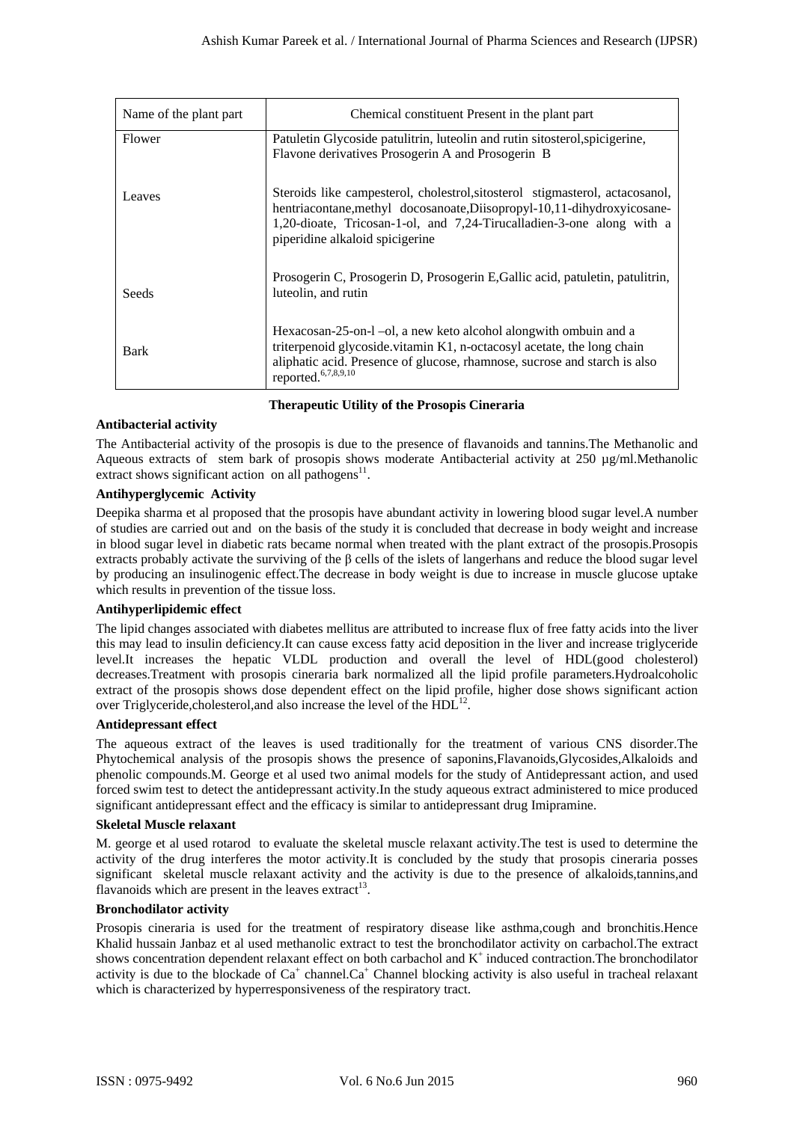| Name of the plant part                                                                                                                                                                 | Chemical constituent Present in the plant part                                                                                                                                                                                                                                                                                                                                                                                                                                                                                                                                                                                                                                                                                                                                                                                                                                                                                                                                                                                                                                                                                                                                                                                                                                                             |
|----------------------------------------------------------------------------------------------------------------------------------------------------------------------------------------|------------------------------------------------------------------------------------------------------------------------------------------------------------------------------------------------------------------------------------------------------------------------------------------------------------------------------------------------------------------------------------------------------------------------------------------------------------------------------------------------------------------------------------------------------------------------------------------------------------------------------------------------------------------------------------------------------------------------------------------------------------------------------------------------------------------------------------------------------------------------------------------------------------------------------------------------------------------------------------------------------------------------------------------------------------------------------------------------------------------------------------------------------------------------------------------------------------------------------------------------------------------------------------------------------------|
| Flower                                                                                                                                                                                 | Patuletin Glycoside patulitrin, luteolin and rutin sitosterol, spicigerine,<br>Flavone derivatives Prosogerin A and Prosogerin B                                                                                                                                                                                                                                                                                                                                                                                                                                                                                                                                                                                                                                                                                                                                                                                                                                                                                                                                                                                                                                                                                                                                                                           |
| Leaves                                                                                                                                                                                 | Steroids like campesterol, cholestrol, sitosterol stigmasterol, actacosanol,<br>hentriacontane, methyl docosanoate, Diisopropyl-10, 11-dihydroxyicosane-<br>1,20-dioate, Tricosan-1-ol, and 7,24-Tirucalladien-3-one along with a<br>piperidine alkaloid spicigerine                                                                                                                                                                                                                                                                                                                                                                                                                                                                                                                                                                                                                                                                                                                                                                                                                                                                                                                                                                                                                                       |
| Seeds                                                                                                                                                                                  | Prosogerin C, Prosogerin D, Prosogerin E, Gallic acid, patuletin, patulitrin,<br>luteolin, and rutin                                                                                                                                                                                                                                                                                                                                                                                                                                                                                                                                                                                                                                                                                                                                                                                                                                                                                                                                                                                                                                                                                                                                                                                                       |
| Bark                                                                                                                                                                                   | Hexacosan-25-on-1-ol, a new keto alcohol alongwith ombuin and a<br>triterpenoid glycoside.vitamin K1, n-octacosyl acetate, the long chain<br>aliphatic acid. Presence of glucose, rhamnose, sucrose and starch is also<br>reported. <sup>6,7,8,9,10</sup>                                                                                                                                                                                                                                                                                                                                                                                                                                                                                                                                                                                                                                                                                                                                                                                                                                                                                                                                                                                                                                                  |
| <b>Antibacterial activity</b>                                                                                                                                                          | <b>Therapeutic Utility of the Prosopis Cineraria</b>                                                                                                                                                                                                                                                                                                                                                                                                                                                                                                                                                                                                                                                                                                                                                                                                                                                                                                                                                                                                                                                                                                                                                                                                                                                       |
| extract shows significant action on all pathogens <sup>11</sup> .<br><b>Antihyperglycemic Activity</b><br>which results in prevention of the tissue loss.<br>Antihyperlipidemic effect | Aqueous extracts of stem bark of prosopis shows moderate Antibacterial activity at 250 µg/ml.Methanolic<br>Deepika sharma et al proposed that the prosopis have abundant activity in lowering blood sugar level. A number<br>of studies are carried out and on the basis of the study it is concluded that decrease in body weight and increase<br>in blood sugar level in diabetic rats became normal when treated with the plant extract of the prosopis. Prosopis<br>extracts probably activate the surviving of the $\beta$ cells of the islets of langerhans and reduce the blood sugar level<br>by producing an insulinogenic effect. The decrease in body weight is due to increase in muscle glucose uptake<br>The lipid changes associated with diabetes mellitus are attributed to increase flux of free fatty acids into the liver<br>this may lead to insulin deficiency. It can cause excess fatty acid deposition in the liver and increase triglyceride<br>level.It increases the hepatic VLDL production and overall the level of HDL(good cholesterol)<br>decreases. Treatment with prosopis cineraria bark normalized all the lipid profile parameters. Hydroalcoholic<br>extract of the prosopis shows dose dependent effect on the lipid profile, higher dose shows significant action |
| <b>Antidepressant effect</b>                                                                                                                                                           | over Triglyceride, cholesterol, and also increase the level of the HDL <sup>12</sup> .                                                                                                                                                                                                                                                                                                                                                                                                                                                                                                                                                                                                                                                                                                                                                                                                                                                                                                                                                                                                                                                                                                                                                                                                                     |
|                                                                                                                                                                                        | The aqueous extract of the leaves is used traditionally for the treatment of various CNS disorder. The<br>Phytochemical analysis of the prosopis shows the presence of saponins, Flavanoids, Glycosides, Alkaloids and<br>phenolic compounds.M. George et al used two animal models for the study of Antidepressant action, and used<br>forced swim test to detect the antidepressant activity. In the study aqueous extract administered to mice produced<br>significant antidepressant effect and the efficacy is similar to antidepressant drug Imipramine.                                                                                                                                                                                                                                                                                                                                                                                                                                                                                                                                                                                                                                                                                                                                             |
| Skeletal Muscle relaxant<br>flavanoids which are present in the leaves extract <sup>13</sup> .                                                                                         | M. george et al used rotarod to evaluate the skeletal muscle relaxant activity. The test is used to determine the<br>activity of the drug interferes the motor activity. It is concluded by the study that prosopis cineraria posses<br>significant skeletal muscle relaxant activity and the activity is due to the presence of alkaloids, tannins, and                                                                                                                                                                                                                                                                                                                                                                                                                                                                                                                                                                                                                                                                                                                                                                                                                                                                                                                                                   |
| <b>Bronchodilator activity</b>                                                                                                                                                         |                                                                                                                                                                                                                                                                                                                                                                                                                                                                                                                                                                                                                                                                                                                                                                                                                                                                                                                                                                                                                                                                                                                                                                                                                                                                                                            |
|                                                                                                                                                                                        | Prosopis cineraria is used for the treatment of respiratory disease like asthma, cough and bronchitis. Hence<br>Khalid hussain Janbaz et al used methanolic extract to test the bronchodilator activity on carbachol. The extract<br>shows concentration dependent relaxant effect on both carbachol and $K^+$ induced contraction. The bronchodilator<br>activity is due to the blockade of $Ca^+$ channel. $Ca^+$ Channel blocking activity is also useful in tracheal relaxant<br>which is characterized by hyperresponsiveness of the respiratory tract.                                                                                                                                                                                                                                                                                                                                                                                                                                                                                                                                                                                                                                                                                                                                               |
| ISSN: 0975-9492                                                                                                                                                                        |                                                                                                                                                                                                                                                                                                                                                                                                                                                                                                                                                                                                                                                                                                                                                                                                                                                                                                                                                                                                                                                                                                                                                                                                                                                                                                            |

**Therapeutic Utility of the Prosopis Cineraria** 

# **Antibacterial activity**

## **Antihyperglycemic Activity**

#### **Antihyperlipidemic effect**

#### **Antidepressant effect**

#### **Skeletal Muscle relaxant**

#### **Bronchodilator activity**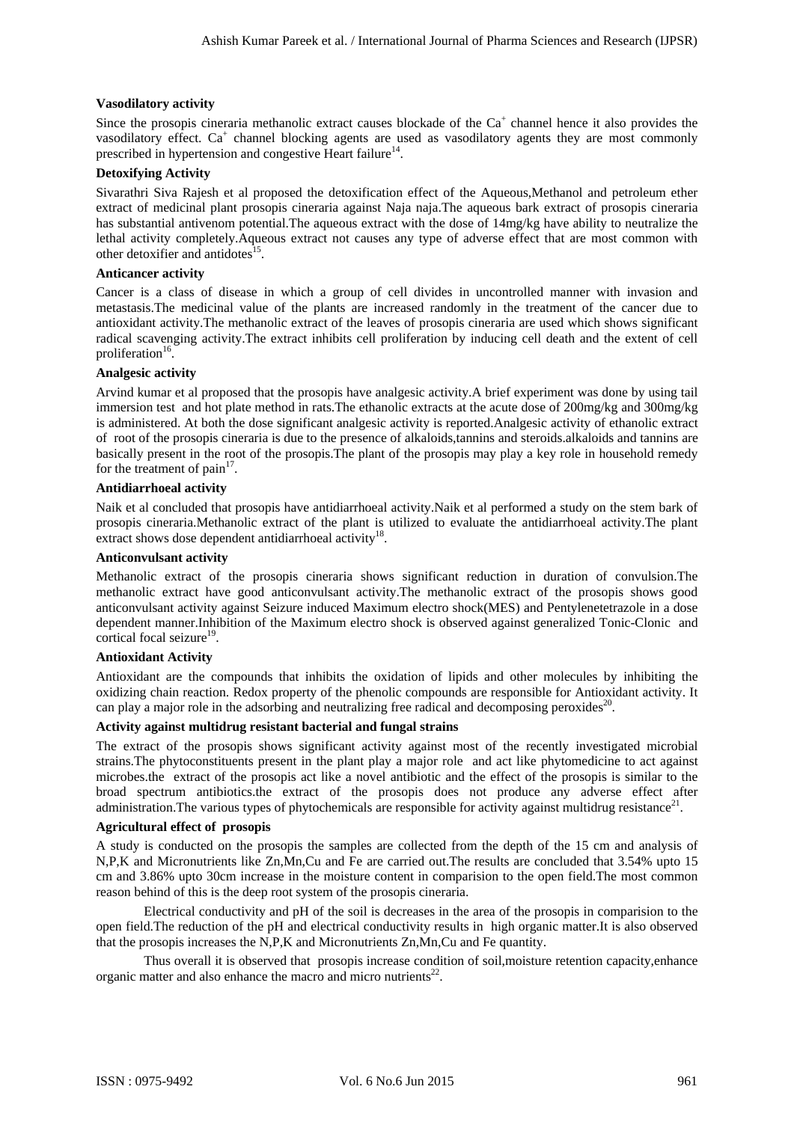### **Vasodilatory activity**

Since the prosopis cineraria methanolic extract causes blockade of the  $Ca<sup>+</sup>$  channel hence it also provides the vasodilatory effect. Ca<sup>+</sup> channel blocking agents are used as vasodilatory agents they are most commonly prescribed in hypertension and congestive Heart failure<sup>14</sup>.

#### **Detoxifying Activity**

Sivarathri Siva Rajesh et al proposed the detoxification effect of the Aqueous,Methanol and petroleum ether extract of medicinal plant prosopis cineraria against Naja naja.The aqueous bark extract of prosopis cineraria has substantial antivenom potential.The aqueous extract with the dose of 14mg/kg have ability to neutralize the lethal activity completely.Aqueous extract not causes any type of adverse effect that are most common with other detoxifier and antidotes<sup>15</sup>.

#### **Anticancer activity**

Cancer is a class of disease in which a group of cell divides in uncontrolled manner with invasion and metastasis.The medicinal value of the plants are increased randomly in the treatment of the cancer due to antioxidant activity.The methanolic extract of the leaves of prosopis cineraria are used which shows significant radical scavenging activity.The extract inhibits cell proliferation by inducing cell death and the extent of cell proliferation $16$ .

#### **Analgesic activity**

Arvind kumar et al proposed that the prosopis have analgesic activity.A brief experiment was done by using tail immersion test and hot plate method in rats.The ethanolic extracts at the acute dose of 200mg/kg and 300mg/kg is administered. At both the dose significant analgesic activity is reported.Analgesic activity of ethanolic extract of root of the prosopis cineraria is due to the presence of alkaloids,tannins and steroids.alkaloids and tannins are basically present in the root of the prosopis.The plant of the prosopis may play a key role in household remedy for the treatment of  $\text{pain}^{17}$ . Ashish Kumar Paret et al. / International Journal of Pharma Sciences and RPSR) and the control of Pharma Science is provided to the control of the CV density international Science is a more provided to the control of the

#### **Antidiarrhoeal activity**

Naik et al concluded that prosopis have antidiarrhoeal activity.Naik et al performed a study on the stem bark of prosopis cineraria.Methanolic extract of the plant is utilized to evaluate the antidiarrhoeal activity.The plant extract shows dose dependent antidiarrhoeal activity<sup>18</sup>.

#### **Anticonvulsant activity**

Methanolic extract of the prosopis cineraria shows significant reduction in duration of convulsion.The methanolic extract have good anticonvulsant activity.The methanolic extract of the prosopis shows good anticonvulsant activity against Seizure induced Maximum electro shock(MES) and Pentylenetetrazole in a dose dependent manner.Inhibition of the Maximum electro shock is observed against generalized Tonic-Clonic and cortical focal seizure<sup>19</sup>.

#### **Antioxidant Activity**

Antioxidant are the compounds that inhibits the oxidation of lipids and other molecules by inhibiting the oxidizing chain reaction. Redox property of the phenolic compounds are responsible for Antioxidant activity. It can play a major role in the adsorbing and neutralizing free radical and decomposing peroxides<sup>20</sup>.

#### **Activity against multidrug resistant bacterial and fungal strains**

The extract of the prosopis shows significant activity against most of the recently investigated microbial strains.The phytoconstituents present in the plant play a major role and act like phytomedicine to act against microbes.the extract of the prosopis act like a novel antibiotic and the effect of the prosopis is similar to the broad spectrum antibiotics.the extract of the prosopis does not produce any adverse effect after administration. The various types of phytochemicals are responsible for activity against multidrug resistance<sup>21</sup>.

#### **Agricultural effect of prosopis**

A study is conducted on the prosopis the samples are collected from the depth of the 15 cm and analysis of N,P,K and Micronutrients like Zn,Mn,Cu and Fe are carried out.The results are concluded that 3.54% upto 15 cm and 3.86% upto 30cm increase in the moisture content in comparision to the open field.The most common reason behind of this is the deep root system of the prosopis cineraria.

Electrical conductivity and pH of the soil is decreases in the area of the prosopis in comparision to the open field.The reduction of the pH and electrical conductivity results in high organic matter.It is also observed that the prosopis increases the N,P,K and Micronutrients Zn,Mn,Cu and Fe quantity.

Thus overall it is observed that prosopis increase condition of soil,moisture retention capacity,enhance organic matter and also enhance the macro and micro nutrients<sup>22</sup>.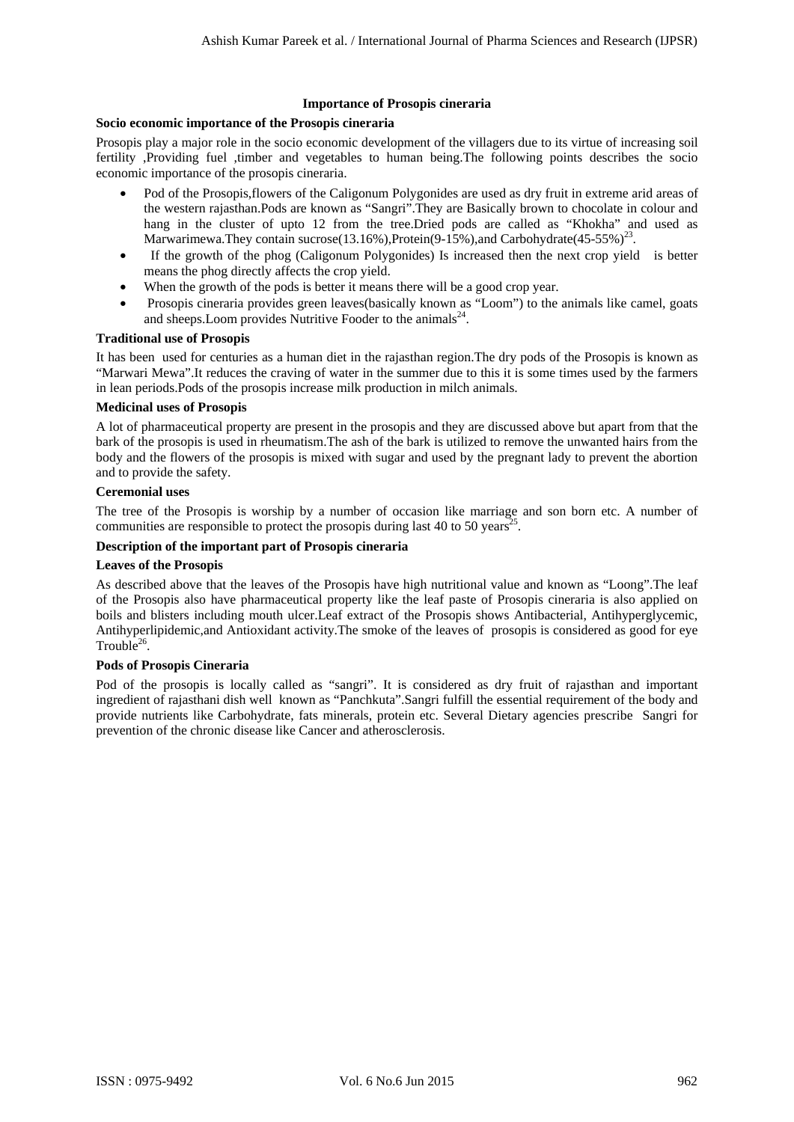### **Importance of Prosopis cineraria**

## **Socio economic importance of the Prosopis cineraria**

Prosopis play a major role in the socio economic development of the villagers due to its virtue of increasing soil fertility ,Providing fuel ,timber and vegetables to human being.The following points describes the socio economic importance of the prosopis cineraria.

- Pod of the Prosopis,flowers of the Caligonum Polygonides are used as dry fruit in extreme arid areas of the western rajasthan.Pods are known as "Sangri".They are Basically brown to chocolate in colour and hang in the cluster of upto 12 from the tree.Dried pods are called as "Khokha" and used as Marwarimewa.They contain sucrose(13.16%),Protein(9-15%),and Carbohydrate(45-55%)<sup>23</sup>.
- If the growth of the phog (Caligonum Polygonides) Is increased then the next crop yield is better means the phog directly affects the crop yield.
- When the growth of the pods is better it means there will be a good crop year.
- Prosopis cineraria provides green leaves(basically known as "Loom") to the animals like camel, goats and sheeps. Loom provides Nutritive Fooder to the animals<sup>24</sup>.

#### **Traditional use of Prosopis**

It has been used for centuries as a human diet in the rajasthan region.The dry pods of the Prosopis is known as "Marwari Mewa".It reduces the craving of water in the summer due to this it is some times used by the farmers in lean periods.Pods of the prosopis increase milk production in milch animals.

#### **Medicinal uses of Prosopis**

A lot of pharmaceutical property are present in the prosopis and they are discussed above but apart from that the bark of the prosopis is used in rheumatism.The ash of the bark is utilized to remove the unwanted hairs from the body and the flowers of the prosopis is mixed with sugar and used by the pregnant lady to prevent the abortion and to provide the safety.

## **Ceremonial uses**

The tree of the Prosopis is worship by a number of occasion like marriage and son born etc. A number of communities are responsible to protect the prosopis during last 40 to 50 years<sup>25</sup>.

# **Description of the important part of Prosopis cineraria**

# **Leaves of the Prosopis**

As described above that the leaves of the Prosopis have high nutritional value and known as "Loong".The leaf of the Prosopis also have pharmaceutical property like the leaf paste of Prosopis cineraria is also applied on boils and blisters including mouth ulcer.Leaf extract of the Prosopis shows Antibacterial, Antihyperglycemic, Antihyperlipidemic,and Antioxidant activity.The smoke of the leaves of prosopis is considered as good for eye Trouble $26$ . Ashish Kumar Pareta et al. / International Journal of Pharma Sciences and Research (IJPSR)<br>Section committed and the Proseption function of Phospherica charma Sciences and Association of Pharma Sciences and Association of

#### **Pods of Prosopis Cineraria**

Pod of the prosopis is locally called as "sangri". It is considered as dry fruit of rajasthan and important ingredient of rajasthani dish well known as "Panchkuta".Sangri fulfill the essential requirement of the body and provide nutrients like Carbohydrate, fats minerals, protein etc. Several Dietary agencies prescribe Sangri for prevention of the chronic disease like Cancer and atherosclerosis.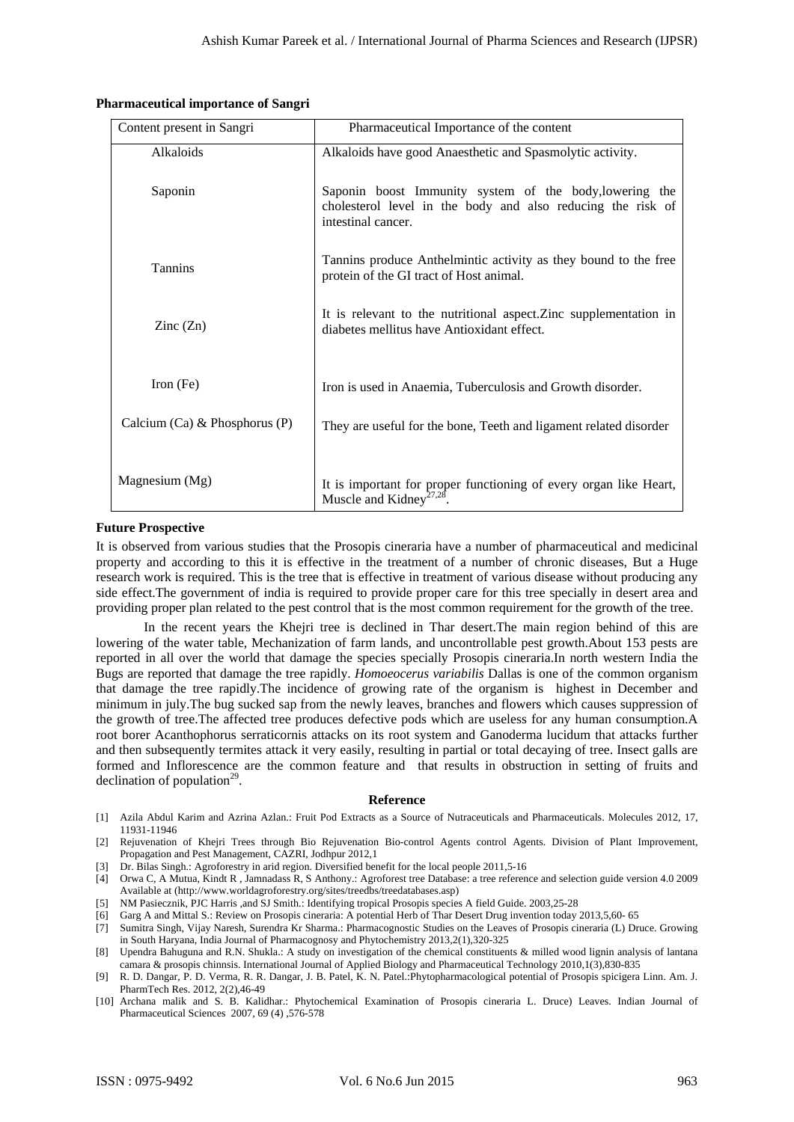#### **Pharmaceutical importance of Sangri**

| Content present in Sangri                 | Pharmaceutical Importance of the content                                                                                                                                                                                                                                                                                                                                                                                                                                                                                                                                                                                                                                                                                                                                                                                                                                                                                                                                                                                                                                                                                                                                                                                                                                                                                                                                                                                                                                                                                                                                                                                                                                                                                                                                   |
|-------------------------------------------|----------------------------------------------------------------------------------------------------------------------------------------------------------------------------------------------------------------------------------------------------------------------------------------------------------------------------------------------------------------------------------------------------------------------------------------------------------------------------------------------------------------------------------------------------------------------------------------------------------------------------------------------------------------------------------------------------------------------------------------------------------------------------------------------------------------------------------------------------------------------------------------------------------------------------------------------------------------------------------------------------------------------------------------------------------------------------------------------------------------------------------------------------------------------------------------------------------------------------------------------------------------------------------------------------------------------------------------------------------------------------------------------------------------------------------------------------------------------------------------------------------------------------------------------------------------------------------------------------------------------------------------------------------------------------------------------------------------------------------------------------------------------------|
| Alkaloids                                 | Alkaloids have good Anaesthetic and Spasmolytic activity.                                                                                                                                                                                                                                                                                                                                                                                                                                                                                                                                                                                                                                                                                                                                                                                                                                                                                                                                                                                                                                                                                                                                                                                                                                                                                                                                                                                                                                                                                                                                                                                                                                                                                                                  |
| Saponin                                   | Saponin boost Immunity system of the body, lowering the<br>cholesterol level in the body and also reducing the risk of<br>intestinal cancer.                                                                                                                                                                                                                                                                                                                                                                                                                                                                                                                                                                                                                                                                                                                                                                                                                                                                                                                                                                                                                                                                                                                                                                                                                                                                                                                                                                                                                                                                                                                                                                                                                               |
| Tannins                                   | Tannins produce Anthelmintic activity as they bound to the free<br>protein of the GI tract of Host animal.                                                                                                                                                                                                                                                                                                                                                                                                                                                                                                                                                                                                                                                                                                                                                                                                                                                                                                                                                                                                                                                                                                                                                                                                                                                                                                                                                                                                                                                                                                                                                                                                                                                                 |
| Zinc $(Zn)$                               | It is relevant to the nutritional aspect. Zinc supplementation in<br>diabetes mellitus have Antioxidant effect.                                                                                                                                                                                                                                                                                                                                                                                                                                                                                                                                                                                                                                                                                                                                                                                                                                                                                                                                                                                                                                                                                                                                                                                                                                                                                                                                                                                                                                                                                                                                                                                                                                                            |
| Iron $(Fe)$                               | Iron is used in Anaemia, Tuberculosis and Growth disorder.                                                                                                                                                                                                                                                                                                                                                                                                                                                                                                                                                                                                                                                                                                                                                                                                                                                                                                                                                                                                                                                                                                                                                                                                                                                                                                                                                                                                                                                                                                                                                                                                                                                                                                                 |
| Calcium (Ca) & Phosphorus (P)             | They are useful for the bone, Teeth and ligament related disorder                                                                                                                                                                                                                                                                                                                                                                                                                                                                                                                                                                                                                                                                                                                                                                                                                                                                                                                                                                                                                                                                                                                                                                                                                                                                                                                                                                                                                                                                                                                                                                                                                                                                                                          |
| Magnesium (Mg)                            | It is important for proper functioning of every organ like Heart,<br>Muscle and Kidney <sup><math>27,28</math></sup> .                                                                                                                                                                                                                                                                                                                                                                                                                                                                                                                                                                                                                                                                                                                                                                                                                                                                                                                                                                                                                                                                                                                                                                                                                                                                                                                                                                                                                                                                                                                                                                                                                                                     |
|                                           |                                                                                                                                                                                                                                                                                                                                                                                                                                                                                                                                                                                                                                                                                                                                                                                                                                                                                                                                                                                                                                                                                                                                                                                                                                                                                                                                                                                                                                                                                                                                                                                                                                                                                                                                                                            |
|                                           |                                                                                                                                                                                                                                                                                                                                                                                                                                                                                                                                                                                                                                                                                                                                                                                                                                                                                                                                                                                                                                                                                                                                                                                                                                                                                                                                                                                                                                                                                                                                                                                                                                                                                                                                                                            |
| declination of population <sup>29</sup> . | It is observed from various studies that the Prosopis cineraria have a number of pharmaceutical and medicinal<br>property and according to this it is effective in the treatment of a number of chronic diseases, But a Huge<br>research work is required. This is the tree that is effective in treatment of various disease without producing any<br>side effect. The government of india is required to provide proper care for this tree specially in desert area and<br>providing proper plan related to the pest control that is the most common requirement for the growth of the tree.<br>In the recent years the Khejri tree is declined in Thar desert. The main region behind of this are<br>lowering of the water table, Mechanization of farm lands, and uncontrollable pest growth. About 153 pests are<br>reported in all over the world that damage the species specially Prosopis cineraria. In north western India the<br>Bugs are reported that damage the tree rapidly. <i>Homoeocerus variabilis</i> Dallas is one of the common organism<br>that damage the tree rapidly. The incidence of growing rate of the organism is highest in December and<br>minimum in july. The bug sucked sap from the newly leaves, branches and flowers which causes suppression of<br>the growth of tree. The affected tree produces defective pods which are useless for any human consumption. A<br>root borer Acanthophorus serraticornis attacks on its root system and Ganoderma lucidum that attacks further<br>and then subsequently termites attack it very easily, resulting in partial or total decaying of tree. Insect galls are<br>formed and Inflorescence are the common feature and that results in obstruction in setting of fruits and<br>Reference |

#### **Future Prospective**

#### **Reference**

- [1] Azila Abdul Karim and Azrina Azlan.: Fruit Pod Extracts as a Source of Nutraceuticals and Pharmaceuticals. Molecules 2012, 17, 11931-11946
- [2] Rejuvenation of Khejri Trees through Bio Rejuvenation Bio-control Agents control Agents. Division of Plant Improvement, Propagation and Pest Management, CAZRI, Jodhpur 2012,1
- [3] Dr. Bilas Singh.: Agroforestry in arid region. Diversified benefit for the local people 2011,5-16
- [4] Orwa C, A Mutua, Kindt R , Jamnadass R, S Anthony.: Agroforest tree Database: a tree reference and selection guide version 4.0 2009 Available at (http://www.worldagroforestry.org/sites/treedbs/treedatabases.asp)
- [5] NM Pasiecznik, PJC Harris ,and SJ Smith.: Identifying tropical Prosopis species A field Guide. 2003,25-28
- [6] Garg A and Mittal S.: Review on Prosopis cineraria: A potential Herb of Thar Desert Drug invention today 2013,5,60- 65
- [7] Sumitra Singh, Vijay Naresh, Surendra Kr Sharma.: Pharmacognostic Studies on the Leaves of Prosopis cineraria (L) Druce. Growing in South Haryana, India Journal of Pharmacognosy and Phytochemistry 2013,2(1),320-325
- [8] Upendra Bahuguna and R.N. Shukla.: A study on investigation of the chemical constituents & milled wood lignin analysis of lantana camara & prosopis chinnsis. International Journal of Applied Biology and Pharmaceutical Technology 2010,1(3),830-835
- [9] R. D. Dangar, P. D. Verma, R. R. Dangar, J. B. Patel, K. N. Patel.:Phytopharmacological potential of Prosopis spicigera Linn. Am. J. PharmTech Res. 2012, 2(2),46-49
- [10] Archana malik and S. B. Kalidhar.: Phytochemical Examination of Prosopis cineraria L. Druce) Leaves. Indian Journal of Pharmaceutical Sciences 2007, 69 (4) ,576-578